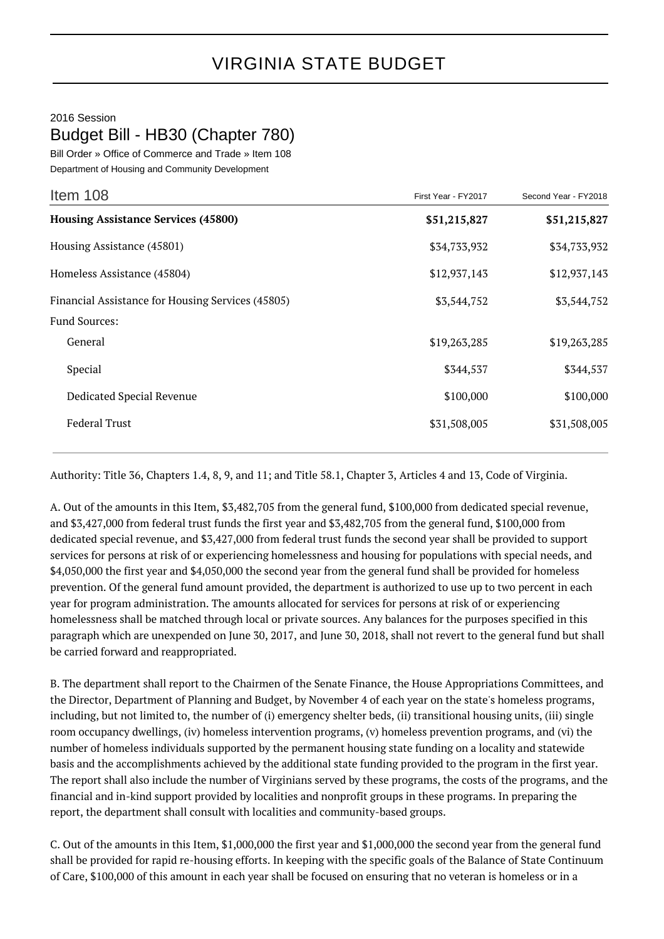## 2016 Session Budget Bill - HB30 (Chapter 780)

Bill Order » Office of Commerce and Trade » Item 108 Department of Housing and Community Development

| Item 108                                          | First Year - FY2017 | Second Year - FY2018 |
|---------------------------------------------------|---------------------|----------------------|
| <b>Housing Assistance Services (45800)</b>        | \$51,215,827        | \$51,215,827         |
| Housing Assistance (45801)                        | \$34,733,932        | \$34,733,932         |
| Homeless Assistance (45804)                       | \$12,937,143        | \$12,937,143         |
| Financial Assistance for Housing Services (45805) | \$3,544,752         | \$3,544,752          |
| <b>Fund Sources:</b>                              |                     |                      |
| General                                           | \$19,263,285        | \$19,263,285         |
| Special                                           | \$344,537           | \$344,537            |
| Dedicated Special Revenue                         | \$100,000           | \$100,000            |
| <b>Federal Trust</b>                              | \$31,508,005        | \$31,508,005         |

Authority: Title 36, Chapters 1.4, 8, 9, and 11; and Title 58.1, Chapter 3, Articles 4 and 13, Code of Virginia.

A. Out of the amounts in this Item, \$3,482,705 from the general fund, \$100,000 from dedicated special revenue, and \$3,427,000 from federal trust funds the first year and \$3,482,705 from the general fund, \$100,000 from dedicated special revenue, and \$3,427,000 from federal trust funds the second year shall be provided to support services for persons at risk of or experiencing homelessness and housing for populations with special needs, and \$4,050,000 the first year and \$4,050,000 the second year from the general fund shall be provided for homeless prevention. Of the general fund amount provided, the department is authorized to use up to two percent in each year for program administration. The amounts allocated for services for persons at risk of or experiencing homelessness shall be matched through local or private sources. Any balances for the purposes specified in this paragraph which are unexpended on June 30, 2017, and June 30, 2018, shall not revert to the general fund but shall be carried forward and reappropriated.

B. The department shall report to the Chairmen of the Senate Finance, the House Appropriations Committees, and the Director, Department of Planning and Budget, by November 4 of each year on the state's homeless programs, including, but not limited to, the number of (i) emergency shelter beds, (ii) transitional housing units, (iii) single room occupancy dwellings, (iv) homeless intervention programs, (v) homeless prevention programs, and (vi) the number of homeless individuals supported by the permanent housing state funding on a locality and statewide basis and the accomplishments achieved by the additional state funding provided to the program in the first year. The report shall also include the number of Virginians served by these programs, the costs of the programs, and the financial and in-kind support provided by localities and nonprofit groups in these programs. In preparing the report, the department shall consult with localities and community-based groups.

C. Out of the amounts in this Item, \$1,000,000 the first year and \$1,000,000 the second year from the general fund shall be provided for rapid re-housing efforts. In keeping with the specific goals of the Balance of State Continuum of Care, \$100,000 of this amount in each year shall be focused on ensuring that no veteran is homeless or in a